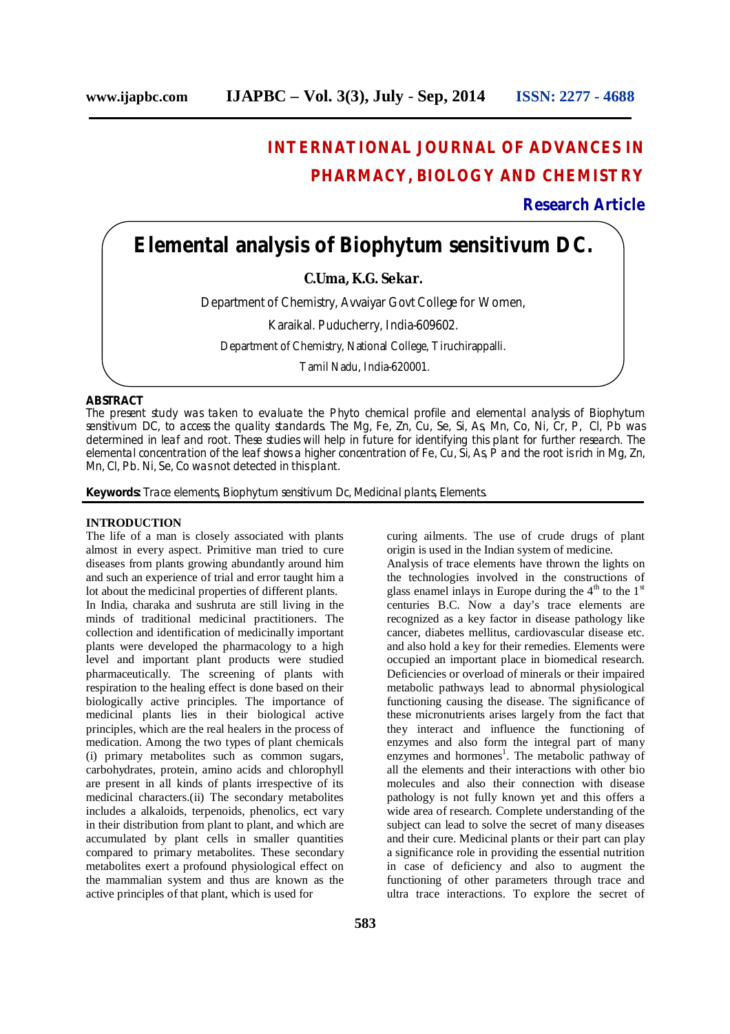# **INTERNATIONAL JOURNAL OF ADVANCES IN PHARMACY, BIOLOGY AND CHEMISTRY**

### **Research Article**

## **Elemental analysis of Biophytum sensitivum DC.**

**C.Uma, K.G. Sekar.**

Department of Chemistry, Avvaiyar Govt College for Women,

Karaikal. Puducherry, India-609602.

Department of Chemistry, National College, Tiruchirappalli.

Tamil Nadu, India-620001.

#### **ABSTRACT**

The present study was taken to evaluate the Phyto chemical profile and elemental analysis of Biophytum sensitivum DC, to access the quality standards. The Mg, Fe, Zn, Cu, Se, Si, As, Mn, Co, Ni, Cr, P, Cl, Pb was determined in leaf and root. These studies will help in future for identifying this plant for further research. The elemental concentration of the leaf shows a higher concentration of Fe, Cu, Si, As, P and the root is rich in Mg, Zn, Mn, Cl, Pb. Ni, Se, Co was not detected in this plant.

**Keywords:** Trace elements, Biophytum sensitivum Dc, Medicinal plants, Elements.

#### **INTRODUCTION**

The life of a man is closely associated with plants almost in every aspect. Primitive man tried to cure diseases from plants growing abundantly around him and such an experience of trial and error taught him a lot about the medicinal properties of different plants.

In India, charaka and sushruta are still living in the minds of traditional medicinal practitioners. The collection and identification of medicinally important plants were developed the pharmacology to a high level and important plant products were studied pharmaceutically. The screening of plants with respiration to the healing effect is done based on their biologically active principles. The importance of medicinal plants lies in their biological active principles, which are the real healers in the process of medication. Among the two types of plant chemicals (i) primary metabolites such as common sugars, carbohydrates, protein, amino acids and chlorophyll are present in all kinds of plants irrespective of its medicinal characters.(ii) The secondary metabolites includes a alkaloids, terpenoids, phenolics, ect vary in their distribution from plant to plant, and which are accumulated by plant cells in smaller quantities compared to primary metabolites. These secondary metabolites exert a profound physiological effect on the mammalian system and thus are known as the active principles of that plant, which is used for

curing ailments. The use of crude drugs of plant origin is used in the Indian system of medicine.

Analysis of trace elements have thrown the lights on the technologies involved in the constructions of glass enamel inlays in Europe during the  $4<sup>th</sup>$  to the  $1<sup>st</sup>$ centuries B.C. Now a day's trace elements are recognized as a key factor in disease pathology like cancer, diabetes mellitus, cardiovascular disease etc. and also hold a key for their remedies. Elements were occupied an important place in biomedical research. Deficiencies or overload of minerals or their impaired metabolic pathways lead to abnormal physiological functioning causing the disease. The significance of these micronutrients arises largely from the fact that they interact and influence the functioning of enzymes and also form the integral part of many enzymes and hormones<sup>1</sup>. The metabolic pathway of all the elements and their interactions with other bio molecules and also their connection with disease pathology is not fully known yet and this offers a wide area of research. Complete understanding of the subject can lead to solve the secret of many diseases and their cure. Medicinal plants or their part can play a significance role in providing the essential nutrition in case of deficiency and also to augment the functioning of other parameters through trace and ultra trace interactions. To explore the secret of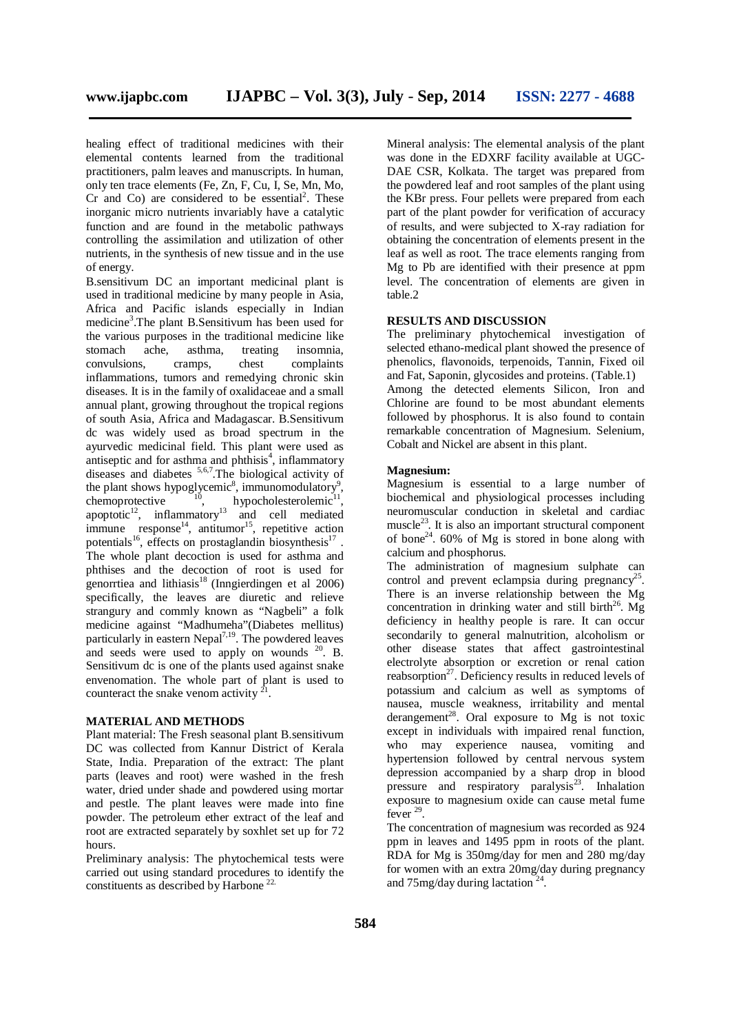healing effect of traditional medicines with their elemental contents learned from the traditional practitioners, palm leaves and manuscripts. In human, only ten trace elements (Fe, Zn, F, Cu, I, Se, Mn, Mo, Cr and Co) are considered to be essential<sup>2</sup>. These inorganic micro nutrients invariably have a catalytic function and are found in the metabolic pathways controlling the assimilation and utilization of other nutrients, in the synthesis of new tissue and in the use of energy.

B.sensitivum DC an important medicinal plant is used in traditional medicine by many people in Asia, Africa and Pacific islands especially in Indian medicine 3 .The plant B.Sensitivum has been used for the various purposes in the traditional medicine like stomach ache, asthma, treating insomnia, convulsions, cramps, chest complaints inflammations, tumors and remedying chronic skin diseases. It is in the family of oxalidaceae and a small annual plant, growing throughout the tropical regions of south Asia, Africa and Madagascar. B.Sensitivum dc was widely used as broad spectrum in the ayurvedic medicinal field. This plant were used as antiseptic and for asthma and phthisis 4 , inflammatory diseases and diabetes <sup>5,6,7</sup>. The biological activity of the plant shows hypoglycemic<sup>8</sup>, immunomodulatory<sup>9</sup>, chemoprotective  $\frac{10}{10}$ , hypocholesterolemic<sup>11</sup>, apoptotic $12$ , inflammatory<sup>13</sup> and cell mediated immune response<sup>14</sup>, antitumor<sup>15</sup>, repetitive action potentials<sup>16</sup>, effects on prostaglandin biosynthesis<sup>17</sup>. The whole plant decoction is used for asthma and phthises and the decoction of root is used for genorrtiea and lithiasis<sup>18</sup> (Inngierdingen et al 2006) specifically, the leaves are diuretic and relieve strangury and commly known as "Nagbeli" a folk medicine against "Madhumeha"(Diabetes mellitus) particularly in eastern Nepal<sup>7,19</sup>. The powdered leaves and seeds were used to apply on wounds  $20$ . B. Sensitivum dc is one of the plants used against snake envenomation. The whole part of plant is used to counteract the snake venom activity  $^{21}$ .

#### **MATERIAL AND METHODS**

Plant material: The Fresh seasonal plant B.sensitivum DC was collected from Kannur District of Kerala State, India. Preparation of the extract: The plant parts (leaves and root) were washed in the fresh water, dried under shade and powdered using mortar and pestle. The plant leaves were made into fine powder. The petroleum ether extract of the leaf and root are extracted separately by soxhlet set up for 72 hours.

Preliminary analysis: The phytochemical tests were carried out using standard procedures to identify the constituents as described by Harbone<sup>22.</sup>

Mineral analysis: The elemental analysis of the plant was done in the EDXRF facility available at UGC-DAE CSR, Kolkata. The target was prepared from the powdered leaf and root samples of the plant using the KBr press. Four pellets were prepared from each part of the plant powder for verification of accuracy of results, and were subjected to X-ray radiation for obtaining the concentration of elements present in the leaf as well as root. The trace elements ranging from Mg to Pb are identified with their presence at ppm level. The concentration of elements are given in table.2

#### **RESULTS AND DISCUSSION**

The preliminary phytochemical investigation of selected ethano-medical plant showed the presence of phenolics, flavonoids, terpenoids, Tannin, Fixed oil and Fat, Saponin, glycosides and proteins. (Table.1) Among the detected elements Silicon, Iron and Chlorine are found to be most abundant elements followed by phosphorus. It is also found to contain remarkable concentration of Magnesium. Selenium, Cobalt and Nickel are absent in this plant.

#### **Magnesium:**

Magnesium is essential to a large number of biochemical and physiological processes including neuromuscular conduction in skeletal and cardiac muscle<sup>23</sup>. It is also an important structural component of bone<sup>24</sup>. 60% of Mg is stored in bone along with calcium and phosphorus.

The administration of magnesium sulphate can control and prevent eclampsia during pregnancy<sup>25</sup>. There is an inverse relationship between the Mg concentration in drinking water and still birth<sup>26</sup>. Mg deficiency in healthy people is rare. It can occur secondarily to general malnutrition, alcoholism or other disease states that affect gastrointestinal electrolyte absorption or excretion or renal cation reabsorption<sup>27</sup>. Deficiency results in reduced levels of potassium and calcium as well as symptoms of nausea, muscle weakness, irritability and mental derangement<sup>28</sup>. Oral exposure to Mg is not toxic except in individuals with impaired renal function, who may experience nausea, vomiting and hypertension followed by central nervous system depression accompanied by a sharp drop in blood pressure and respiratory paralysis<sup>23</sup>. Inhalation exposure to magnesium oxide can cause metal fume fever  $29$ .

The concentration of magnesium was recorded as 924 ppm in leaves and 1495 ppm in roots of the plant. RDA for Mg is 350mg/day for men and 280 mg/day for women with an extra 20mg/day during pregnancy and 75mg/day during lactation<sup>24</sup>.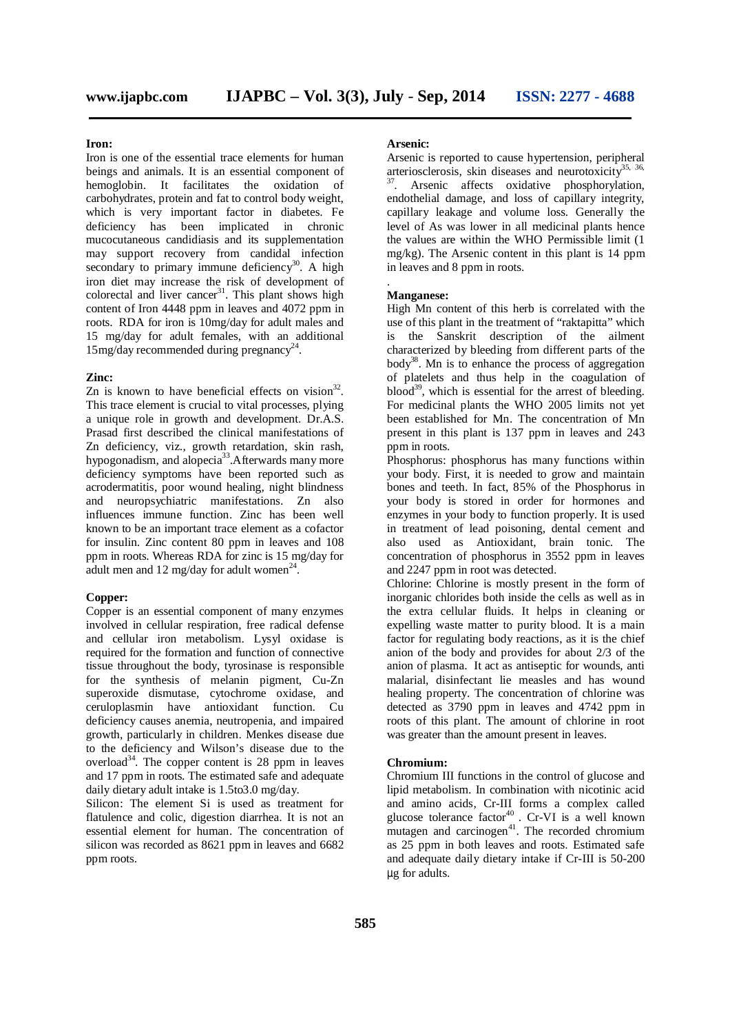#### **Iron:**

Iron is one of the essential trace elements for human beings and animals. It is an essential component of hemoglobin. It facilitates the oxidation of carbohydrates, protein and fat to control body weight, which is very important factor in diabetes. Fe deficiency has been implicated in chronic mucocutaneous candidiasis and its supplementation may support recovery from candidal infection secondary to primary immune deficiency<sup>30</sup>. A high iron diet may increase the risk of development of colorectal and liver cancer<sup>31</sup>. This plant shows high content of Iron 4448 ppm in leaves and 4072 ppm in roots. RDA for iron is 10mg/day for adult males and 15 mg/day for adult females, with an additional 15mg/day recommended during pregnancy 24 .

#### **Zinc:**

Zn is known to have beneficial effects on vision $3^2$ . This trace element is crucial to vital processes, plying a unique role in growth and development. Dr.A.S. Prasad first described the clinical manifestations of Zn deficiency, viz., growth retardation, skin rash, hypogonadism, and alopecia<sup>33</sup>. Afterwards many more deficiency symptoms have been reported such as acrodermatitis, poor wound healing, night blindness and neuropsychiatric manifestations. Zn also influences immune function. Zinc has been well known to be an important trace element as a cofactor for insulin. Zinc content 80 ppm in leaves and 108 ppm in roots. Whereas RDA for zinc is 15 mg/day for adult men and  $12 \text{ mg/day}$  for adult women<sup>24</sup>.

#### **Copper:**

Copper is an essential component of many enzymes involved in cellular respiration, free radical defense and cellular iron metabolism. Lysyl oxidase is required for the formation and function of connective tissue throughout the body, tyrosinase is responsible for the synthesis of melanin pigment, Cu-Zn superoxide dismutase, cytochrome oxidase, and ceruloplasmin have antioxidant function. Cu deficiency causes anemia, neutropenia, and impaired growth, particularly in children. Menkes disease due to the deficiency and Wilson's disease due to the overload<sup>34</sup>. The copper content is 28 ppm in leaves and 17 ppm in roots. The estimated safe and adequate daily dietary adult intake is 1.5to3.0 mg/day.

Silicon: The element Si is used as treatment for flatulence and colic, digestion diarrhea. It is not an essential element for human. The concentration of silicon was recorded as 8621 ppm in leaves and 6682 ppm roots.

#### **Arsenic:**

Arsenic is reported to cause hypertension, peripheral arteriosclerosis, skin diseases and neurotoxicity<sup>35, 36,</sup>

<sup>37</sup>. Arsenic affects oxidative phosphorylation, endothelial damage, and loss of capillary integrity, capillary leakage and volume loss. Generally the level of As was lower in all medicinal plants hence the values are within the WHO Permissible limit (1 mg/kg). The Arsenic content in this plant is 14 ppm in leaves and 8 ppm in roots.

#### **Manganese:**

.

High Mn content of this herb is correlated with the use of this plant in the treatment of "raktapitta" which is the Sanskrit description of the ailment characterized by bleeding from different parts of the body<sup>38</sup>. Mn is to enhance the process of aggregation of platelets and thus help in the coagulation of blood<sup>39</sup>, which is essential for the arrest of bleeding. For medicinal plants the WHO 2005 limits not yet been established for Mn. The concentration of Mn present in this plant is 137 ppm in leaves and 243 ppm in roots.

Phosphorus: phosphorus has many functions within your body. First, it is needed to grow and maintain bones and teeth. In fact, 85% of the Phosphorus in your body is stored in order for hormones and enzymes in your body to function properly. It is used in treatment of lead poisoning, dental cement and also used as Antioxidant, brain tonic. The concentration of phosphorus in 3552 ppm in leaves and 2247 ppm in root was detected.

Chlorine: Chlorine is mostly present in the form of inorganic chlorides both inside the cells as well as in the extra cellular fluids. It helps in cleaning or expelling waste matter to purity blood. It is a main factor for regulating body reactions, as it is the chief anion of the body and provides for about 2/3 of the anion of plasma. It act as antiseptic for wounds, anti malarial, disinfectant lie measles and has wound healing property. The concentration of chlorine was detected as 3790 ppm in leaves and 4742 ppm in roots of this plant. The amount of chlorine in root was greater than the amount present in leaves.

#### **Chromium:**

Chromium III functions in the control of glucose and lipid metabolism. In combination with nicotinic acid and amino acids, Cr-III forms a complex called glucose tolerance factor 40 . Cr-VI is a well known mutagen and carcinogen<sup>41</sup>. The recorded chromium as 25 ppm in both leaves and roots. Estimated safe and adequate daily dietary intake if Cr-III is 50-200 µg for adults.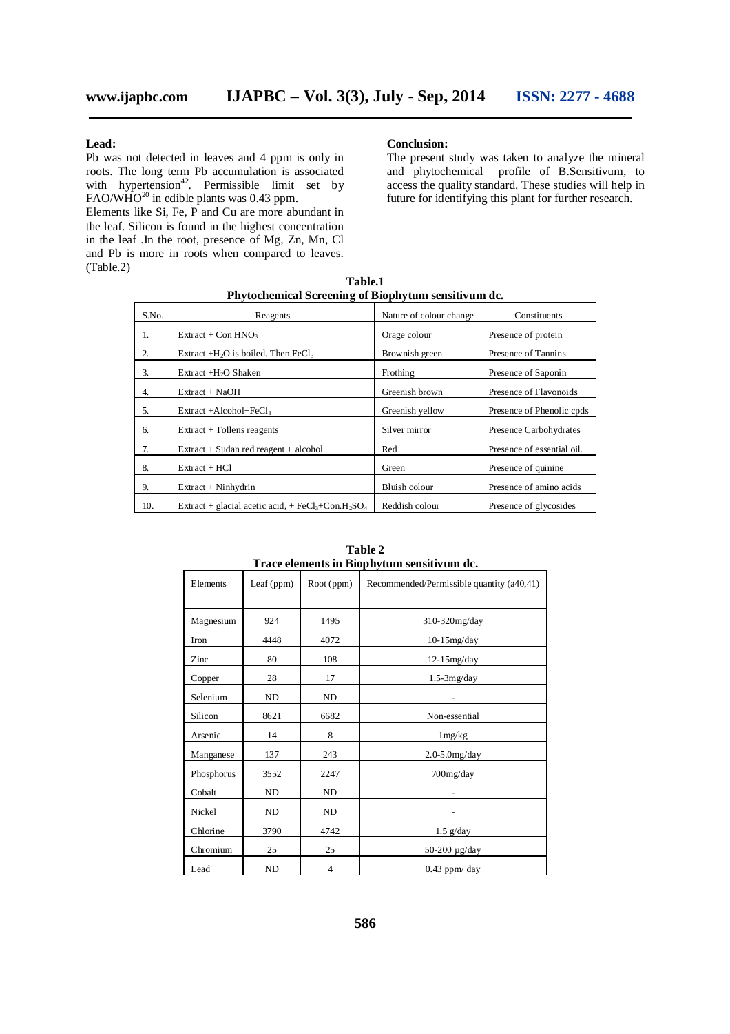#### **Lead:**

Pb was not detected in leaves and 4 ppm is only in roots. The long term Pb accumulation is associated with hypertension<sup>42</sup>. Permissible limit set by FAO/WHO $^{20}$  in edible plants was 0.43 ppm.

Elements like Si, Fe, P and Cu are more abundant in the leaf. Silicon is found in the highest concentration in the leaf .In the root, presence of Mg, Zn, Mn, Cl and Pb is more in roots when compared to leaves. (Table.2)

#### **Conclusion:**

The present study was taken to analyze the mineral and phytochemical profile of B.Sensitivum, to access the quality standard. These studies will help in future for identifying this plant for further research.

| Table.1                                             |
|-----------------------------------------------------|
| Phytochemical Screening of Biophytum sensitivum dc. |

| S.No. | Reagents                                                                               | Nature of colour change | Constituents               |
|-------|----------------------------------------------------------------------------------------|-------------------------|----------------------------|
| -1.   | $Extract + Con HNO3$                                                                   | Orage colour            | Presence of protein        |
| 2.    | Extract +H <sub>2</sub> O is boiled. Then FeCl <sub>3</sub>                            | Brownish green          | Presence of Tannins        |
| 3.    | Extract +H <sub>2</sub> O Shaken                                                       | Frothing                | Presence of Saponin        |
| 4.    | $Extract + NaOH$                                                                       | Greenish brown          | Presence of Flavonoids     |
| 5.    | $Extract +Alcohol + FeCl3$                                                             | Greenish yellow         | Presence of Phenolic cpds  |
| 6.    | $Extract + Tollens reagents$                                                           | Silver mirror           | Presence Carbohydrates     |
| 7.    | $Extract + Sudan red reagent + alcohol$                                                | Red                     | Presence of essential oil. |
| 8.    | $Extract + HCl$                                                                        | Green                   | Presence of quinine        |
| 9.    | $Extract + Ninhydrin$                                                                  | Bluish colour           | Presence of amino acids    |
| 10.   | Extract + glacial acetic acid, + FeCl <sub>3</sub> +Con.H <sub>2</sub> SO <sub>4</sub> | Reddish colour          | Presence of glycosides     |

| I race elements in Biophytum sensitivum dc. |              |            |                                           |  |  |
|---------------------------------------------|--------------|------------|-------------------------------------------|--|--|
| Elements                                    | Leaf $(ppm)$ | Root (ppm) | Recommended/Permissible quantity (a40,41) |  |  |
| Magnesium                                   | 924          | 1495       | 310-320mg/day                             |  |  |
| Iron                                        | 4448         | 4072       | $10-15$ mg/day                            |  |  |
| Zinc                                        | 80           | 108        | $12-15$ mg/day                            |  |  |
| Copper                                      | 28           | 17         | $1.5-3mg/day$                             |  |  |
| Selenium                                    | ND           | ND         |                                           |  |  |
| Silicon                                     | 8621         | 6682       | Non-essential                             |  |  |
| Arsenic                                     | 14           | 8          | $1 \,\mathrm{mg/kg}$                      |  |  |
| Manganese                                   | 137          | 243        | $2.0 - 5.0$ mg/day                        |  |  |
| Phosphorus                                  | 3552         | 2247       | 700mg/day                                 |  |  |
| Cobalt                                      | ND           | ND         |                                           |  |  |
| Nickel                                      | ND           | ND         |                                           |  |  |
| Chlorine                                    | 3790         | 4742       | $1.5$ g/day                               |  |  |
| Chromium                                    | 25           | 25         | 50-200 μg/day                             |  |  |
| Lead                                        | ND           | 4          | $0.43$ ppm/day                            |  |  |

**Table 2 Trace elements in Biophytum sensitivum dc.**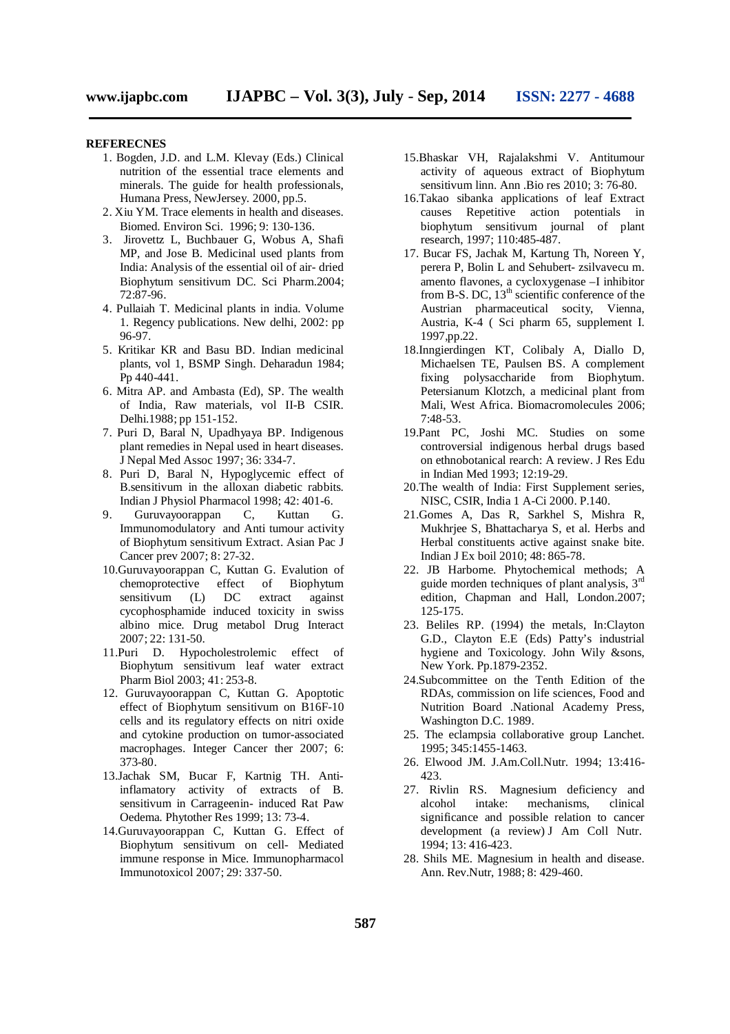#### **REFERECNES**

- 1. Bogden, J.D. and L.M. Klevay (Eds.) Clinical nutrition of the essential trace elements and minerals. The guide for health professionals, Humana Press, NewJersey. 2000, pp.5.
- 2. Xiu YM. Trace elements in health and diseases. Biomed. Environ Sci. 1996; 9: 130-136.
- 3. Jirovettz L, Buchbauer G, Wobus A, Shafi MP, and Jose B. Medicinal used plants from India: Analysis of the essential oil of air- dried Biophytum sensitivum DC. Sci Pharm.2004; 72:87-96.
- 4. Pullaiah T. Medicinal plants in india. Volume 1. Regency publications. New delhi, 2002: pp 96-97.
- 5. Kritikar KR and Basu BD. Indian medicinal plants, vol 1, BSMP Singh. Deharadun 1984; Pp 440-441.
- 6. Mitra AP. and Ambasta (Ed), SP. The wealth of India, Raw materials, vol II-B CSIR. Delhi.1988; pp 151-152.
- 7. Puri D, Baral N, Upadhyaya BP. Indigenous plant remedies in Nepal used in heart diseases. J Nepal Med Assoc 1997; 36: 334-7.
- 8. Puri D, Baral N, Hypoglycemic effect of B.sensitivum in the alloxan diabetic rabbits. Indian J Physiol Pharmacol 1998; 42: 401-6.
- 9. Guruvayoorappan C, Kuttan G. Immunomodulatory and Anti tumour activity of Biophytum sensitivum Extract. Asian Pac J Cancer prev 2007; 8: 27-32.
- 10.Guruvayoorappan C, Kuttan G. Evalution of chemoprotective effect of Biophytum<br>sensitivum (L) DC extract against sensitivum (L) DC extract against cycophosphamide induced toxicity in swiss albino mice. Drug metabol Drug Interact 2007; 22: 131-50.
- 11.Puri D. Hypocholestrolemic effect of Biophytum sensitivum leaf water extract Pharm Biol 2003; 41: 253-8.
- 12. Guruvayoorappan C, Kuttan G. Apoptotic effect of Biophytum sensitivum on B16F-10 cells and its regulatory effects on nitri oxide and cytokine production on tumor-associated macrophages. Integer Cancer ther 2007; 6: 373-80.
- 13.Jachak SM, Bucar F, Kartnig TH. Antiinflamatory activity of extracts of B. sensitivum in Carrageenin- induced Rat Paw Oedema. Phytother Res 1999; 13: 73-4.
- 14.Guruvayoorappan C, Kuttan G. Effect of Biophytum sensitivum on cell- Mediated immune response in Mice. Immunopharmacol Immunotoxicol 2007; 29: 337-50.
- 15.Bhaskar VH, Rajalakshmi V. Antitumour activity of aqueous extract of Biophytum sensitivum linn. Ann .Bio res 2010; 3: 76-80.
- 16.Takao sibanka applications of leaf Extract causes Repetitive action potentials in biophytum sensitivum journal of plant research, 1997; 110:485-487.
- 17. Bucar FS, Jachak M, Kartung Th, Noreen Y, perera P, Bolin L and Sehubert- zsilvavecu m. amento flavones, a cycloxygenase –I inhibitor from B-S. DC,  $13<sup>th</sup>$  scientific conference of the Austrian pharmaceutical socity, Vienna, Austria, K-4 ( Sci pharm 65, supplement I. 1997,pp.22.
- 18.Inngierdingen KT, Colibaly A, Diallo D, Michaelsen TE, Paulsen BS. A complement fixing polysaccharide from Biophytum. Petersianum Klotzch, a medicinal plant from Mali, West Africa. Biomacromolecules 2006; 7:48-53.
- 19.Pant PC, Joshi MC. Studies on some controversial indigenous herbal drugs based on ethnobotanical rearch: A review. J Res Edu in Indian Med 1993; 12:19-29.
- 20.The wealth of India: First Supplement series, NISC, CSIR, India 1 A-Ci 2000. P.140.
- 21.Gomes A, Das R, Sarkhel S, Mishra R, Mukhrjee S, Bhattacharya S, et al. Herbs and Herbal constituents active against snake bite. Indian J Ex boil 2010; 48: 865-78.
- 22. JB Harborne. Phytochemical methods; A guide morden techniques of plant analysis,  $3<sup>rd</sup>$ edition, Chapman and Hall, London.2007; 125-175.
- 23. Beliles RP. (1994) the metals, In:Clayton G.D., Clayton E.E (Eds) Patty's industrial hygiene and Toxicology. John Wily &sons, New York. Pp.1879-2352.
- 24.Subcommittee on the Tenth Edition of the RDAs, commission on life sciences, Food and Nutrition Board .National Academy Press, Washington D.C. 1989.
- 25. The eclampsia collaborative group Lanchet. 1995; 345:1455-1463.
- 26. Elwood JM. J.Am.Coll.Nutr. 1994; 13:416- 423.
- 27. Rivlin RS. Magnesium deficiency and alcohol intake: mechanisms, clinical significance and possible relation to cancer development (a review) J Am Coll Nutr. 1994; 13: 416-423.
- 28. Shils ME. Magnesium in health and disease. Ann. Rev.Nutr, 1988; 8: 429-460.